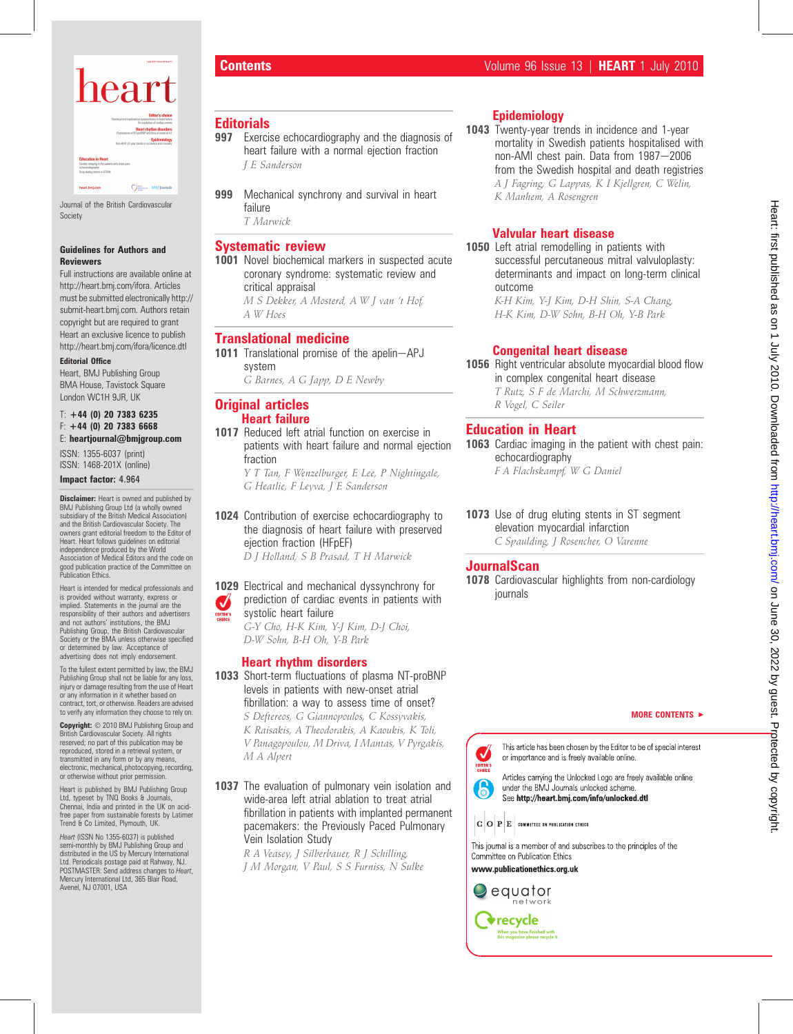

Journal of the British Cardiovascular Society

#### Guidelines for Authors and **Reviewers**

Full instructions are available online at http://heart.bmj.com/ifora. Articles must be submitted electronically http:// submit-heart.bmj.com. Authors retain copyright but are required to grant Heart an exclusive licence to publish http://heart.bmj.com/ifora/licence.dtl

#### Editorial Office

Heart, BMJ Publishing Group BMA House, Tavistock Square London WC1H 9JR, UK

 $T: +44$  (0) 20 7383 6235 F: +44 (0) 20 7383 6668

E: heartjournal@bmjgroup.com

ISSN: 1355-6037 (print) ISSN: 1468-201X (online)

Impact factor: 4.964

**Disclaimer:** Heart is owned and published by BMJ Publishing Group Ltd (a wholly owned subsidiary of the British Medical Association) and the British Cardiovascular Society. The owners grant editorial freedom to the Editor of Heart. Heart follows guidelines on editorial independence produced by the World Association of Medical Editors and the code on good publication practice of the Committee on Publication Ethics.

Heart is intended for medical professionals and is provided without warranty, express or implied. Statements in the journal are the responsibility of their authors and advertisers and not authors' institutions, the BMJ Publishing Group, the British Cardiovascular Society or the BMA unless otherwise specified or determined by law. Acceptance of advertising does not imply endorsement.

To the fullest extent permitted by law, the BMJ Publishing Group shall not be liable for any loss, injury or damage resulting from the use of Heart or any information in it whether based on contract, tort, or otherwise. Readers are advised to verify any information they choose to rely on.

**Copyright:** © 2010 BMJ Publishing Group and<br>British Cardiovascular Society. All rights<br>reserved; no part of this publication may be reproduced, stored in a retrieval system, or transmitted in any form or by any means, electronic, mechanical, photocopying, recording, or otherwise without prior permission.

Heart is published by BMJ Publishing Group Ltd, typeset by TNQ Books & Journals Chennai, India and printed in the UK on acidfree paper from sustainable forests by Latimer Trend & Co Limited, Plymouth, UK.

*Heart* (ISSN No 1355-6037) is published<br>semi-monthly by BMJ Publishing Group and<br>distributed in the US by Mercury International<br>Ltd. Periodicals postage paid at Rahway, NJ.<br>POSTMASTER: Send address changes to *Heart,*<br>Mer Avenel, NJ 07001, USA

- **Editorials**<br>997 Exerci Exercise echocardiography and the diagnosis of heart failure with a normal ejection fraction J E Sanderson
- 999 Mechanical synchrony and survival in heart failure T Marwick

# Systematic review

1001 Novel biochemical markers in suspected acute coronary syndrome: systematic review and critical appraisal M S Dekker, A Mosterd, A W J van 't Hof, A W Hoes

### Translational medicine

1011 Translational promise of the apelin-APJ system

G Barnes, A G Japp, D E Newby

#### Original articles Heart failure

1017 Reduced left atrial function on exercise in patients with heart failure and normal ejection fraction

Y T Tan, F Wenzelburger, E Lee, P Nightingale, G Heatlie, F Leyva, J E Sanderson

1024 Contribution of exercise echocardiography to the diagnosis of heart failure with preserved ejection fraction (HFpEF) D J Holland, S B Prasad, T H Marwick

#### 1029 Electrical and mechanical dyssynchrony for prediction of cardiac events in patients with  $\boldsymbol{J}$ systolic heart failure EDITOR'S

G-Y Cho, H-K Kim, Y-J Kim, D-J Choi, D-W Sohn, B-H Oh, Y-B Park

### Heart rhythm disorders

- 1033 Short-term fluctuations of plasma NT-proBNP levels in patients with new-onset atrial fibrillation: a way to assess time of onset? S Deftereos, G Giannopoulos, C Kossyvakis, K Raisakis, A Theodorakis, A Kaoukis, K Toli, V Panagopoulou, M Driva, I Mantas, V Pyrgakis, M A Alpert
- 1037 The evaluation of pulmonary vein isolation and wide-area left atrial ablation to treat atrial fibrillation in patients with implanted permanent pacemakers: the Previously Paced Pulmonary Vein Isolation Study
	- R A Veasey, J Silberbauer, R J Schilling, J M Morgan, V Paul, S S Furniss, N Sulke

# Epidemiology

1043 Twenty-year trends in incidence and 1-year mortality in Swedish patients hospitalised with non-AMI chest pain. Data from 1987-2006 from the Swedish hospital and death registries A J Fagring, G Lappas, K I Kjellgren, C Welin, K Manhem, A Rosengren

# Valvular heart disease

1050 Left atrial remodelling in patients with successful percutaneous mitral valvuloplasty: determinants and impact on long-term clinical outcome

K-H Kim, Y-J Kim, D-H Shin, S-A Chang, H-K Kim, D-W Sohn, B-H Oh, Y-B Park

# Congenital heart disease

1056 Right ventricular absolute myocardial blood flow in complex congenital heart disease T Rutz, S F de Marchi, M Schwerzmann,

R Vogel, C Seiler

# Education in Heart

1063 Cardiac imaging in the patient with chest pain: echocardiography

F A Flachskampf, W G Daniel

1073 Use of drug eluting stents in ST segment elevation myocardial infarction C Spaulding, J Rosencher, O Varenne

# **JournalScan**

1078 Cardiovascular highlights from non-cardiology journals

MORE CONTENTS  $\blacktriangleright$ 

This article has been chosen by the Editor to be of special interest or importance and is freely available online.



Articles carrying the Unlocked Logo are freely available online under the BMJ Journals unlocked scheme. See http://heart.bmj.com/info/unlocked.dtl

 $\vert \mathbf{G} \vert \mathbf{O} \vert \, \mathbf{P} \vert \mathbf{E} \vert$  committee on publication ethics

This journal is a member of and subscribes to the principles of the Committee on Publication Ethics www.publicationethics.org.uk